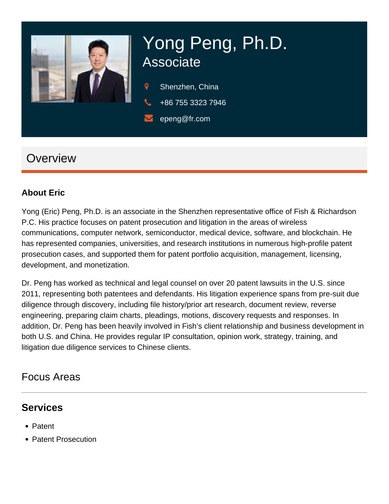

# Yong Peng, Ph.D. Associate

- 9 Shenzhen, China
- +86 755 3323 7946
	- epeng@fr.com

## **Overview**

#### **About Eric**

Yong (Eric) Peng, Ph.D. is an associate in the Shenzhen representative office of Fish & Richardson P.C. His practice focuses on patent prosecution and litigation in the areas of wireless communications, computer network, semiconductor, medical device, software, and blockchain. He has represented companies, universities, and research institutions in numerous high-profile patent prosecution cases, and supported them for patent portfolio acquisition, management, licensing, development, and monetization.

Dr. Peng has worked as technical and legal counsel on over 20 patent lawsuits in the U.S. since 2011, representing both patentees and defendants. His litigation experience spans from pre-suit due diligence through discovery, including file history/prior art research, document review, reverse engineering, preparing claim charts, pleadings, motions, discovery requests and responses. In addition, Dr. Peng has been heavily involved in Fish's client relationship and business development in both U.S. and China. He provides regular IP consultation, opinion work, strategy, training, and litigation due diligence services to Chinese clients.

#### Focus Areas

#### **Services**

- Patent
- Patent Prosecution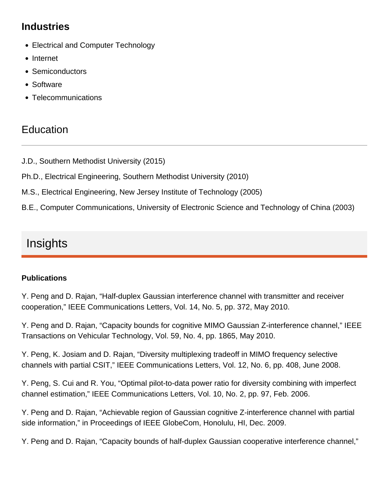#### **Industries**

- Electrical and Computer Technology
- Internet
- Semiconductors
- Software
- Telecommunications

#### Education

- J.D., Southern Methodist University (2015)
- Ph.D., Electrical Engineering, Southern Methodist University (2010)
- M.S., Electrical Engineering, New Jersey Institute of Technology (2005)
- B.E., Computer Communications, University of Electronic Science and Technology of China (2003)

# Insights

#### **Publications**

Y. Peng and D. Rajan, "Half-duplex Gaussian interference channel with transmitter and receiver cooperation," IEEE Communications Letters, Vol. 14, No. 5, pp. 372, May 2010.

Y. Peng and D. Rajan, "Capacity bounds for cognitive MIMO Gaussian Z-interference channel," IEEE Transactions on Vehicular Technology, Vol. 59, No. 4, pp. 1865, May 2010.

Y. Peng, K. Josiam and D. Rajan, "Diversity multiplexing tradeoff in MIMO frequency selective channels with partial CSIT," IEEE Communications Letters, Vol. 12, No. 6, pp. 408, June 2008.

Y. Peng, S. Cui and R. You, "Optimal pilot-to-data power ratio for diversity combining with imperfect channel estimation," IEEE Communications Letters, Vol. 10, No. 2, pp. 97, Feb. 2006.

Y. Peng and D. Rajan, "Achievable region of Gaussian cognitive Z-interference channel with partial side information," in Proceedings of IEEE GlobeCom, Honolulu, HI, Dec. 2009.

Y. Peng and D. Rajan, "Capacity bounds of half-duplex Gaussian cooperative interference channel,"